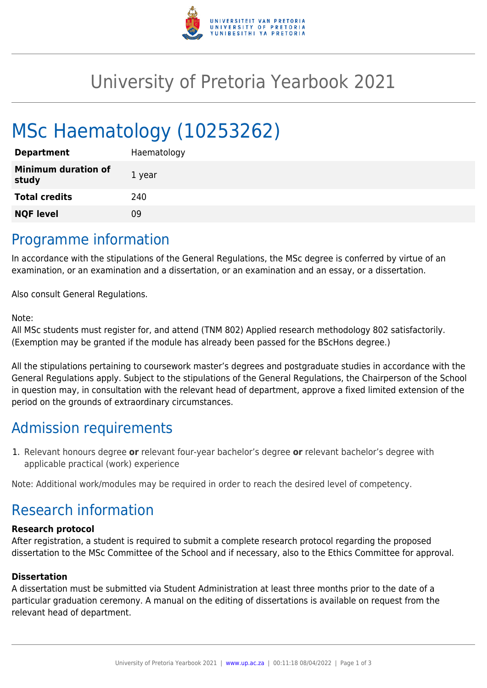

## University of Pretoria Yearbook 2021

# MSc Haematology (10253262)

| <b>Department</b>                   | Haematology |
|-------------------------------------|-------------|
| <b>Minimum duration of</b><br>study | 1 year      |
| <b>Total credits</b>                | 240         |
| <b>NQF level</b>                    | 09          |
|                                     |             |

### Programme information

In accordance with the stipulations of the General Regulations, the MSc degree is conferred by virtue of an examination, or an examination and a dissertation, or an examination and an essay, or a dissertation.

Also consult General Regulations.

#### Note:

All MSc students must register for, and attend (TNM 802) Applied research methodology 802 satisfactorily. (Exemption may be granted if the module has already been passed for the BScHons degree.)

All the stipulations pertaining to coursework master's degrees and postgraduate studies in accordance with the General Regulations apply. Subject to the stipulations of the General Regulations, the Chairperson of the School in question may, in consultation with the relevant head of department, approve a fixed limited extension of the period on the grounds of extraordinary circumstances.

## Admission requirements

1. Relevant honours degree **or** relevant four-year bachelor's degree **or** relevant bachelor's degree with applicable practical (work) experience

Note: Additional work/modules may be required in order to reach the desired level of competency.

## Research information

#### **Research protocol**

After registration, a student is required to submit a complete research protocol regarding the proposed dissertation to the MSc Committee of the School and if necessary, also to the Ethics Committee for approval.

#### **Dissertation**

A dissertation must be submitted via Student Administration at least three months prior to the date of a particular graduation ceremony. A manual on the editing of dissertations is available on request from the relevant head of department.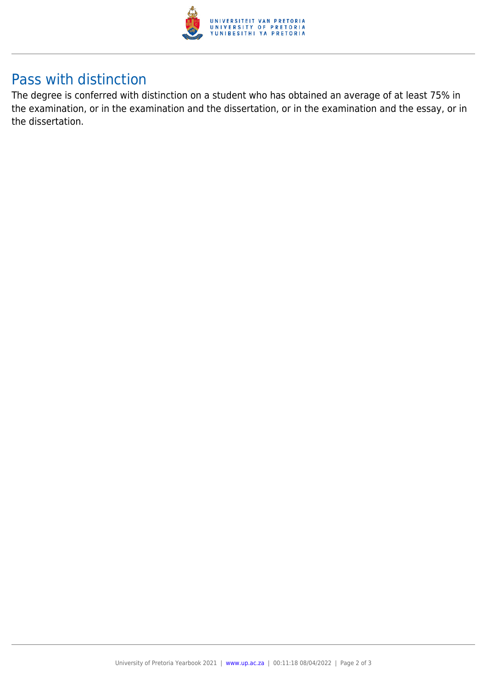

## Pass with distinction

The degree is conferred with distinction on a student who has obtained an average of at least 75% in the examination, or in the examination and the dissertation, or in the examination and the essay, or in the dissertation.